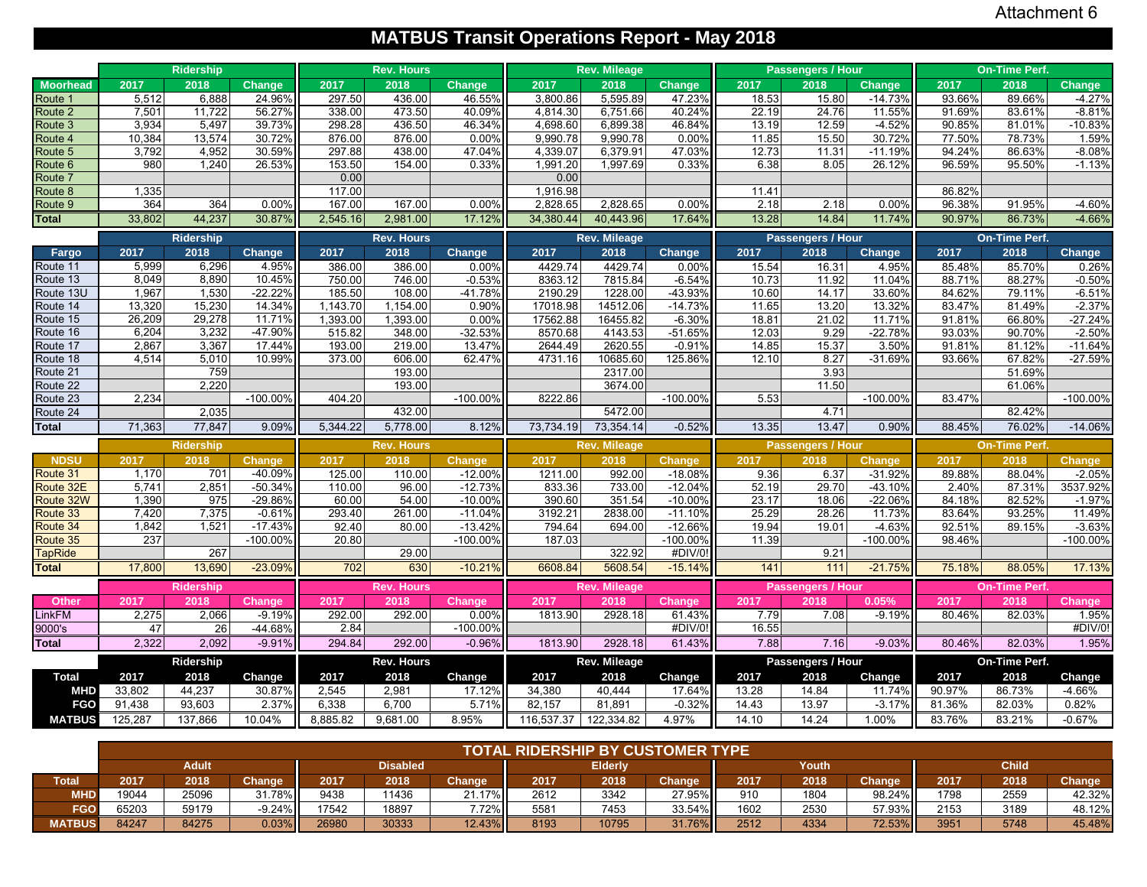# **MATBUS Transit Operations Report - May 2018**

|                        |                | <b>Ridership</b> |                        |                 | <b>Rev. Hours</b> |                        |                   | <b>Rev. Mileage</b> |                        |                | Passengers / Hour        |                     |                 | <b>On-Time Perf.</b> |                      |
|------------------------|----------------|------------------|------------------------|-----------------|-------------------|------------------------|-------------------|---------------------|------------------------|----------------|--------------------------|---------------------|-----------------|----------------------|----------------------|
| <b>Moorhead</b>        | 2017           | 2018             | <b>Change</b>          | 2017            | 2018              | Change                 | 2017              | 2018                | <b>Change</b>          | 2017           | 2018                     | <b>Change</b>       | 2017            | 2018                 | Change               |
| Route 1                | 5,512          | 6,888            | 24.96%                 | 297.50          | 436.00            | 46.55%                 | 3,800.86          | 5,595.89            | 47.23%                 | 18.53          | 15.80                    | $-14.73%$           | 93.66%          | 89.66%               | $-4.27%$             |
| Route 2                | 7,501          | 11,722           | 56.27%                 | 338.00          | 473.50            | 40.09%                 | 4,814.30          | 6,751.66            | 40.24%                 | 22.19          | 24.76                    | 11.55%              | 91.69%          | 83.61%               | $-8.81%$             |
| Route 3                | 3,934          | 5,497            | 39.73%                 | 298.28          | 436.50            | 46.34%                 | 4.698.60          | 6,899.38            | 46.84%                 | 13.19          | 12.59                    | $-4.52%$            | 90.85%          | 81.01%               | $-10.83%$            |
| Route 4                | 10,384         | 13,574           | 30.72%                 | 876.00          | 876.00            | 0.00%                  | 9.990.78          | 9,990.78            | 0.00%                  | 11.85          | 15.50                    | 30.72%              | 77.50%          | 78.73%               | 1.59%                |
| Route 5                | 3,792          | 4,952            | 30.59%                 | 297.88          | 438.00            | 47.04%                 | 4,339.07          | 6,379.91            | 47.03%                 | 12.73          | 11.31                    | $-11.19%$           | 94.24%          | 86.63%               | $-8.08%$             |
| Route <sub>6</sub>     | 980            | 1,240            | 26.53%                 | 153.50          | 154.00            | 0.33%                  | 1.991.20          | 1,997.69            | 0.33%                  | 6.38           | 8.05                     | 26.12%              | 96.59%          | 95.50%               | $-1.13%$             |
| Route 7                |                |                  |                        | 0.00            |                   |                        | 0.00              |                     |                        |                |                          |                     |                 |                      |                      |
| Route 8                | 1,335          |                  |                        | 117.00          |                   |                        | 1,916.98          |                     |                        | 11.41          |                          |                     | 86.82%          |                      |                      |
| Route 9                | 364            | 364              | 0.00%                  | 167.00          | 167.00            | 0.00%                  | 2,828.65          | 2,828.65            | 0.00%                  | 2.18           | 2.18                     | 0.00%               | 96.38%          | 91.95%               | $-4.60%$             |
| <b>Total</b>           | 33,802         | 44,237           | 30.87%                 | 2,545.16        | 2,981.00          | 17.12%                 | 34,380.44         | 40,443.96           | 17.64%                 | 13.28          | 14.84                    | 11.74%              | 90.97%          | 86.73%               | $-4.66%$             |
|                        |                | Ridership        |                        |                 | <b>Rev. Hours</b> |                        |                   | Rev. Mileage        |                        |                | Passengers / Hour        |                     |                 | On-Time Perf.        |                      |
| Fargo                  | 2017           | 2018             | Change                 | 2017            | 2018              | <b>Change</b>          | 2017              | 2018                | <b>Change</b>          | 2017           | 2018                     | Change              | 2017            | 2018                 | Change               |
| Route 11               | 5,999          | 6,296            | 4.95%                  | 386.00          | 386.00            | 0.00%                  | 4429.74           | 4429.74             | 0.00%                  | 15.54          | 16.31                    | 4.95%               | 85.48%          | 85.70%               | 0.26%                |
| Route 13               | 8,049          | 8,890            | 10.45%                 | 750.00          | 746.00            | $-0.53%$               | 8363.12           | 7815.84             | $-6.54%$               | 10.73          | 11.92                    | 11.04%              | 88.71%          | 88.27%               | $-0.50%$             |
| Route 13U              | 1,967          | 1,530            | $-22.22%$              | 185.50          | 108.00            | $-41.78%$              | 2190.29           | 1228.00             | $-43.93%$              | 10.60          | 14.17                    | 33.60%              | 84.62%          | 79.11%               | $-6.51%$             |
| Route 14               | 13,320         | 15,230           | 14.34%                 | 1,143.70        | 1,154.00          | 0.90%                  | 17018.98          | 14512.06            | $-14.73%$              | 11.65          | 13.20                    | 13.32%              | 83.47%          | 81.49%               | $-2.37%$             |
| Route 15               | 26,209         | 29,278           | 11.71%                 | 1,393.00        | 1,393.00          | 0.00%                  | 17562.88          | 16455.82            | $-6.30%$               | 18.81          | 21.02                    | 11.71%              | 91.81%          | 66.80%               | $-27.24%$            |
| Route 16               | 6,204          | 3,232            | -47.90%                | 515.82          | 348.00            | $-32.53%$              | 8570.68           | 4143.53             | $-51.65%$              | 12.03          | 9.29                     | $-22.78%$           | 93.03%          | 90.70%               | $-2.50%$             |
| Route 17               | 2,867          | 3,367            | 17.44%                 | 193.00          | 219.00            | 13.47%                 | 2644.49           | 2620.55             | $-0.91%$               | 14.85          | 15.37                    | 3.50%               | 91.81%          | 81.12%               | $-11.64%$            |
| Route 18               | 4,514          | 5,010            | 10.99%                 | 373.00          | 606.00            | 62.47%                 | 4731.16           | 10685.60            | 125.86%                | 12.10          | 8.27                     | $-31.69%$           | 93.66%          | 67.82%               | $-27.59%$            |
| Route 21               |                | 759              |                        |                 | 193.00            |                        |                   | 2317.00             |                        |                | 3.93                     |                     |                 | 51.69%<br>61.06%     |                      |
| Route 22<br>Route 23   | 2.234          | 2,220            | $-100.00%$             | 404.20          | 193.00            | $-100.00%$             | 8222.86           | 3674.00             | $-100.00%$             | 5.53           | 11.50                    | $-100.00%$          | 83.47%          |                      | $-100.00\%$          |
| Route 24               |                | 2,035            |                        |                 | 432.00            |                        |                   | 5472.00             |                        |                | 4.71                     |                     |                 | 82.42%               |                      |
| Total                  | 71,363         | 77,847           | 9.09%                  | 5,344.22        | 5,778.00          | 8.12%                  | 73,734.19         | 73,354.14           | $-0.52%$               | 13.35          | 13.47                    | 0.90%               | 88.45%          | 76.02%               | $-14.06%$            |
|                        |                |                  |                        |                 |                   |                        |                   |                     |                        |                |                          |                     |                 |                      |                      |
|                        |                | <b>Ridership</b> |                        |                 | <b>Rev. Hours</b> |                        |                   | <b>Rev. Mileage</b> |                        |                | <b>Passengers / Hour</b> |                     |                 | <b>On-Time Perf.</b> |                      |
| <b>NDSU</b>            | 2017           | 2018             | <b>Change</b>          | 2017            | 2018              | <b>Change</b>          | 2017              | 2018                | Change                 | 2017           | 2018                     | Change              | 2017            | 2018                 | Change               |
| Route 31               | 1,170          | 701              | -40.09%                | 125.00          | 110.00            | $-12.00%$              | 1211.00           | 992.00              | $-18.08%$              | 9.36           | 6.37                     | $-31.92%$           | 89.88%          | 88.04%               | $-2.05%$<br>3537.92% |
| Route 32E<br>Route 32W | 5,741<br>1,390 | 2,851<br>975     | $-50.34%$<br>$-29.86%$ | 110.00<br>60.00 | 96.00             | $-12.73%$<br>$-10.00%$ | 833.36            | 733.00              | $-12.049$              | 52.19          | 29.70                    | $-43.10%$           | 2.40%<br>84.18% | 87.31%               | $-1.97%$             |
| Route 33               | 7,420          | 7,375            | $-0.61%$               | 293.40          | 54.00<br>261.00   | $-11.04%$              | 390.60<br>3192.21 | 351.54<br>2838.00   | $-10.00%$<br>$-11.10%$ | 23.17<br>25.29 | 18.06<br>28.26           | $-22.06%$<br>11.73% | 83.64%          | 82.52%<br>93.25%     | 11.49%               |
| Route 34               | 1,842          | 1,521            | $-17.43%$              | 92.40           | 80.00             | $-13.42%$              | 794.64            | 694.00              | $-12.66%$              | 19.94          | 19.01                    | $-4.63%$            | 92.51%          | 89.15%               | $-3.63%$             |
| Route 35               | 237            |                  | $-100.00%$             | 20.80           |                   | $-100.00%$             | 187.03            |                     | -100.00%               | 11.39          |                          | $-100.00%$          | 98.46%          |                      | $-100.00\%$          |
| <b>TapRide</b>         |                | 267              |                        |                 | 29.00             |                        |                   | 322.92              | #DIV/0                 |                | 9.21                     |                     |                 |                      |                      |
| <b>Total</b>           | 17,800         | 13,690           | $-23.09%$              | 702             | 630               | $-10.21%$              | 6608.84           | 5608.54             | $-15.14%$              | 141            | 111                      | $-21.75%$           | 75.18%          | 88.05%               | 17.13%               |
|                        |                | Ridership        |                        |                 | <b>Rev. Hours</b> |                        |                   | <b>Rev. Mileage</b> |                        |                | <b>Passengers / Hour</b> |                     |                 | <b>On-Time Perf.</b> |                      |
| Other                  | 2017           | 2018             | Change                 | 2017            | 2018              | <b>Change</b>          | 2017              | 2018                | <b>Change</b>          | 2017           | 2018                     | 0.05%               | 2017            | 2018                 | Change               |
| <b>LinkFM</b>          | 2,275          | 2,066            | $-9.19%$               | 292.00          | 292.00            | 0.00%                  | 1813.90           | 2928.18             | 61.43%                 | 7.79           | 7.08                     | $-9.19%$            | 80.46%          | 82.03%               | 1.95%                |
| 9000's                 | 47             | 26               | -44.68%                | 2.84            |                   | $-100.00%$             |                   |                     | #DIV/0!                | 16.55          |                          |                     |                 |                      | #DIV/0!              |
| <b>Total</b>           | 2,322          | 2,092            | $-9.91%$               | 294.84          | 292.00            | $-0.96%$               | 1813.90           | 2928.18             | 61.43%                 | 7.88           | 7.16                     | $-9.03%$            | 80.46%          | 82.03%               | 1.95%                |
|                        |                | Ridership        |                        |                 | Rev. Hours        |                        |                   | Rev. Mileage        |                        |                | Passengers / Hour        |                     |                 | On-Time Perf.        |                      |
| <b>Total</b>           | 2017           | 2018             | Change                 | 2017            | 2018              | Change                 | 2017              | 2018                | Change                 | 2017           | 2018                     | Change              | 2017            | 2018                 | Change               |
| <b>MHD</b>             | 33,802         | 44,237           | 30.87%                 | 2,545           | 2,981             | 17.12%                 | 34,380            | 40,444              | 17.64%                 | 13.28          | 14.84                    | 11.74%              | 90.97%          | 86.73%               | -4.66%               |
| <b>FGO</b>             | 91,438         | 93,603           | 2.37%                  | 6,338           | 6,700             | 5.71%                  | 82,157            | 81,891              | $-0.32%$               | 14.43          | 13.97                    | $-3.17%$            | 81.36%          | 82.03%               | 0.82%                |
| <b>MATBUS</b>          | 125,287        | 137,866          | 10.04%                 | 8,885.82        | 9,681.00          | 8.95%                  | 116,537.37        | 122,334.82          | 4.97%                  | 14.10          | 14.24                    | 1.00%               | 83.76%          | 83.21%               | $-0.67%$             |
|                        |                |                  |                        |                 |                   |                        |                   |                     |                        |                |                          |                     |                 |                      |                      |

|               |       |              |           |       |                 |               | <b>TOTAL RIDERSHIP BY CUSTOMER TYPE</b> |                |          |      |       |               |      |              |        |
|---------------|-------|--------------|-----------|-------|-----------------|---------------|-----------------------------------------|----------------|----------|------|-------|---------------|------|--------------|--------|
|               |       | <b>Adult</b> |           |       | <b>Disabled</b> |               |                                         | <b>Elderly</b> |          |      | Youth |               |      | <b>Child</b> |        |
| <b>Total</b>  | 2017  | 2018         | Change    | 2017  | 2018            | <b>Change</b> | 2017                                    | 2018           | Change   | 2017 | 2018  | <b>Change</b> | 2017 | 2018         | Change |
| MHD           | 19044 | 25096        | 31.78%II  | 9438  | 1436            | 21.17%        | 2612                                    | 3342           | 27.95%II | 910  | 1804  | 98.24%        | 1798 | 2559         | 42.32% |
| FGO           | 65203 | 59179        | $-9.24\%$ | 17542 | 18897           | $7.72\%$      | 5581                                    | 7453           | 33.54%II | 1602 | 2530  | 57.93%II      | 2153 | 3189         | 48.12% |
| <b>MATBUS</b> | 84247 | 84275        | 0.03%     | 26980 | 30333           | 12.43%        | 8193                                    | 10795          | 31.76%   | 2512 | 4334  | 72.53%        | 3951 | 5748         | 45.48% |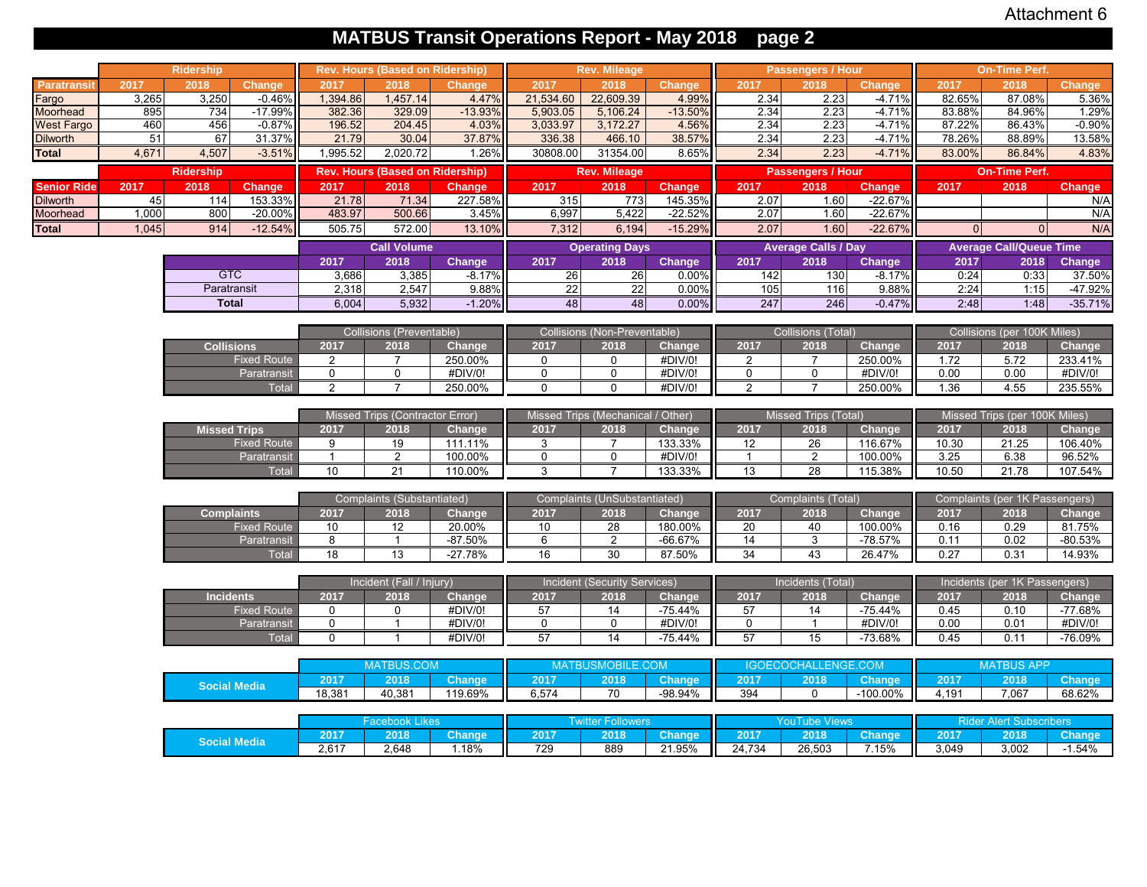## **MATBUS Transit Operations Report - May 2018 page 2**

|                    |       | <b>Ridership</b>    |                     |                 | <b>Rev. Hours (Based on Ridership)</b> |               |             | <b>Rev. Mileage</b>               |               |                | <b>Passengers / Hour</b>    |               |          | <b>On-Time Perf.</b>           |               |
|--------------------|-------|---------------------|---------------------|-----------------|----------------------------------------|---------------|-------------|-----------------------------------|---------------|----------------|-----------------------------|---------------|----------|--------------------------------|---------------|
| Paratransit        | 2017  | 2018                | <b>Change</b>       | 2017            | 2018                                   | <b>Change</b> | 2017        | 2018                              | Change        | 2017           | 2018                        | <b>Change</b> | 2017     | 2018                           | <b>Change</b> |
| Fargo              | 3,265 | 3,250               | $-0.46%$            | 1,394.86        | 1,457.14                               | 4.47%         | 21,534.60   | 22,609.39                         | 4.99%         | 2.34           | 2.23                        | $-4.71%$      | 82.65%   | 87.08%                         | 5.36%         |
| Moorhead           | 895   | 734                 | $-17.99%$           | 382.36          | 329.09                                 | $-13.93%$     | 5,903.05    | 5,106.24                          | $-13.50%$     | 2.34           | 2.23                        | $-4.71%$      | 83.88%   | 84.96%                         | 1.29%         |
| <b>West Fargo</b>  | 460   | 456                 | $-0.87%$            | 196.52          | 204.45                                 | 4.03%         | 3,033.97    | 3,172.27                          | 4.56%         | 2.34           | 2.23                        | $-4.71%$      | 87.22%   | 86.43%                         | $-0.90%$      |
| <b>Dilworth</b>    | 51    | 67                  | 31.37%              | 21.79           | 30.04                                  | 37.87%        | 336.38      | 466.10                            | 38.57%        | 2.34           | 2.23                        | $-4.71%$      | 78.26%   | 88.89%                         | 13.58%        |
| <b>Total</b>       | 4,671 | 4,507               | $-3.51%$            | 1,995.52        | 2,020.72                               | 1.26%         | 30808.00    | 31354.00                          | 8.65%         | 2.34           | 2.23                        | $-4.71%$      | 83.00%   | 86.84%                         | 4.83%         |
|                    |       | <b>Ridership</b>    |                     |                 | <b>Rev. Hours (Based on Ridership)</b> |               |             | <b>Rev. Mileage</b>               |               |                | <b>Passengers / Hour</b>    |               |          | <b>On-Time Perf.</b>           |               |
| <b>Senior Ride</b> | 2017  | 2018                | <b>Change</b>       | 2017            | 2018                                   | <b>Change</b> | 2017        | 2018                              | <b>Change</b> | 2017           | 2018                        | <b>Change</b> | 2017     | 2018                           | <b>Change</b> |
| <b>Dilworth</b>    | 45    | 114                 | 153.33%             | 21.78           | 71.34                                  | 227.58%       | 315         | 773                               | 145.35%       | 2.07           | 1.60                        | $-22.67%$     |          |                                | N/A           |
| Moorhead           | 1.000 | 800                 | $-20.00%$           | 483.97          | 500.66                                 | 3.45%         | 6,997       | 5,422                             | $-22.52%$     | 2.07           | 1.60                        | $-22.67%$     |          |                                | N/A           |
| <b>Total</b>       | 1,045 | 914                 | $-12.54%$           | 505.75          | 572.00                                 | 13.10%        | 7,312       | 6,194                             | $-15.29%$     | 2.07           | 1.60                        | $-22.67%$     | $\Omega$ | $\Omega$                       | N/A           |
|                    |       |                     |                     |                 | <b>Call Volume</b>                     |               |             | <b>Operating Days</b>             |               |                | <b>Average Calls / Day</b>  |               |          | <b>Average Call/Queue Time</b> |               |
|                    |       |                     |                     | 2017            | 2018                                   | Change        | 2017        | 2018                              | <b>Change</b> | 2017           | 2018                        | Change        | 2017     | 2018                           | <b>Change</b> |
|                    |       | <b>GTC</b>          |                     | 3,686           | 3,385                                  | $-8.17%$      | 26          | $\overline{26}$                   | 0.00%         | 142            | 130                         | $-8.17%$      | 0:24     | 0:33                           | 37.50%        |
|                    |       | Paratransit         |                     | 2,318           | 2,547                                  | 9.88%         | 22          | 22                                | 0.00%         | 105            | 116                         | 9.88%         | 2:24     | 1:15                           | -47.92%       |
|                    |       | <b>Total</b>        |                     | 6.004           | 5,932                                  | $-1.20%$      | 48          | 48                                | 0.00%         | 247            | 246                         | $-0.47%$      | 2:48     | 1:48                           | $-35.71%$     |
|                    |       |                     |                     |                 | Collisions (Preventable)               |               |             | Collisions (Non-Preventable)      |               |                | <b>Collisions (Total)</b>   |               |          | Collisions (per 100K Miles)    |               |
|                    |       | <b>Collisions</b>   |                     | 2017            | 2018                                   | Change        | 2017        | 2018                              | Change        | 2017           | 2018                        | Change        | 2017     | 2018                           | Change        |
|                    |       |                     | <b>Fixed Route</b>  | 2               | $\overline{7}$                         | 250.00%       | $\mathbf 0$ | $\Omega$                          | #DIV/0!       | 2              | $\overline{7}$              | 250.00%       | 1.72     | 5.72                           | 233.41%       |
|                    |       |                     | Paratransit         | 0               | $\mathbf 0$                            | #DIV/0!       | $\mathbf 0$ | $\mathbf 0$                       | #DIV/0!       | $\mathbf 0$    | $\mathbf 0$                 | #DIV/0!       | 0.00     | 0.00                           | #DIV/0!       |
|                    |       |                     | Total               | $\overline{2}$  | $\overline{7}$                         | 250.00%       | $\Omega$    | $\mathbf 0$                       | #DIV/0!       | 2              | $\overline{7}$              | 250.00%       | 1.36     | 4.55                           | 235.55%       |
|                    |       |                     |                     |                 |                                        |               |             |                                   |               |                |                             |               |          |                                |               |
|                    |       |                     |                     |                 | Missed Trips (Contractor Error)        |               |             | Missed Trips (Mechanical / Other) |               |                | <b>Missed Trips (Total)</b> |               |          | Missed Trips (per 100K Miles)  |               |
|                    |       | <b>Missed Trips</b> |                     | 2017            | 2018                                   | Change        | 2017        | 2018                              | Change        | 2017           | 2018                        | Change        | 2017     | 2018                           | Change        |
|                    |       |                     | <b>Fixed Route</b>  | 9               | 19                                     | 111.11%       | 3           | $\overline{7}$                    | 133.33%       | 12             | 26                          | 116.67%       | 10.30    | 21.25                          | 106.40%       |
|                    |       |                     | Paratransit         | $\overline{1}$  | 2                                      | 100.00%       | $\mathbf 0$ | 0                                 | #DIV/0!       | $\overline{1}$ | $\overline{2}$              | 100.00%       | 3.25     | 6.38                           | 96.52%        |
|                    |       |                     | Total               | 10 <sup>1</sup> | 21                                     | 110.00%       | 3           | $\overline{7}$                    | 133.33%       | 13             | 28                          | 115.38%       | 10.50    | 21.78                          | 107.54%       |
|                    |       |                     |                     |                 | Complaints (Substantiated)             |               |             | Complaints (UnSubstantiated)      |               |                | <b>Complaints (Total)</b>   |               |          | Complaints (per 1K Passengers) |               |
|                    |       | <b>Complaints</b>   |                     | 2017            | 2018                                   | Change        | 2017        | 2018                              | Change        | 2017           | 2018                        | Change        | 2017     | 2018                           | Change        |
|                    |       |                     | <b>Fixed Route</b>  | 10              | 12                                     | 20.00%        | 10          | 28                                | 180.00%       | 20             | 40                          | 100.00%       | 0.16     | 0.29                           | 81.75%        |
|                    |       |                     | Paratransit         | 8               | $\mathbf{1}$                           | $-87.50%$     | 6           | $\overline{2}$                    | -66.67%       | 14             | 3                           | $-78.57%$     | 0.11     | 0.02                           | $-80.53%$     |
|                    |       |                     | Total               | 18              | 13                                     | $-27.78%$     | 16          | 30                                | 87.50%        | 34             | 43                          | 26.47%        | 0.27     | 0.31                           | 14.93%        |
|                    |       |                     |                     |                 |                                        |               |             |                                   |               |                |                             |               |          |                                |               |
|                    |       |                     |                     |                 | Incident (Fall / Injury)               |               |             | Incident (Security Services)      |               |                | Incidents (Total)           |               |          | Incidents (per 1K Passengers)  |               |
|                    |       | <b>Incidents</b>    |                     | 2017            | 2018                                   | Change        | 2017        | 2018                              | Change        | 2017           | 2018                        | Change        | 2017     | 2018                           | Change        |
|                    |       |                     | <b>Fixed Route</b>  | $\mathbf 0$     | $\mathbf 0$                            | #DIV/0!       | 57          | 14                                | -75.44%       | 57             | 14                          | $-75.44%$     | 0.45     | 0.10                           | -77.68%       |
|                    |       |                     | Paratransit         | $\mathbf 0$     | $\mathbf{1}$                           | #DIV/0!       | $\mathbf 0$ | $\overline{0}$                    | #DIV/0!       | $\mathbf 0$    | $\mathbf{1}$                | #DIV/0!       | 0.00     | 0.01                           | #DIV/0!       |
|                    |       |                     | Total               | $\mathbf 0$     | $\mathbf{1}$                           | #DIV/0!       | 57          | 14                                | $-75.44%$     | 57             | 15                          | -73.68%       | 0.45     | 0.11                           | $-76.09%$     |
|                    |       |                     |                     |                 | <b>MATBUS.COM</b>                      |               |             | MATBUSMOBILE.COM                  |               |                | <b>IGOECOCHALLENGE.COM</b>  |               |          | <b>MATBUS APP</b>              |               |
|                    |       |                     |                     | 2017            | 2018                                   | Change        | 2017        | 2018                              | <b>Change</b> | 2017           | 2018                        | <b>Change</b> | 2017     | 2018                           | <b>Change</b> |
|                    |       |                     | <b>Social Media</b> | 18,381          | 40,381                                 | 119.69%       | 6,574       | $\overline{70}$                   | $-98.94%$     | 394            | $\mathbf 0$                 | $-100.00\%$   | 4,191    | 7,067                          | 68.62%        |
|                    |       |                     |                     |                 |                                        |               |             |                                   |               |                |                             |               |          |                                |               |
|                    |       |                     |                     |                 | <b>Facebook Likes</b>                  |               |             | <b>Twitter Followers</b>          |               |                | <b>YouTube Views</b>        |               |          | <b>Rider Alert Subscribers</b> |               |
|                    |       |                     |                     | 2017            | 2018                                   | <b>Change</b> | 2017        | 2018                              | <b>Change</b> | 2017           | 2018                        | <b>Change</b> | 2017     | 2018                           | Change        |
|                    |       |                     | <b>Social Media</b> | 2,617           | 2,648                                  | 1.18%         | 729         | 889                               | 21.95%        | 24,734         | 26,503                      | 7.15%         | 3,049    | 3,002                          | -1.54%        |
|                    |       |                     |                     |                 |                                        |               |             |                                   |               |                |                             |               |          |                                |               |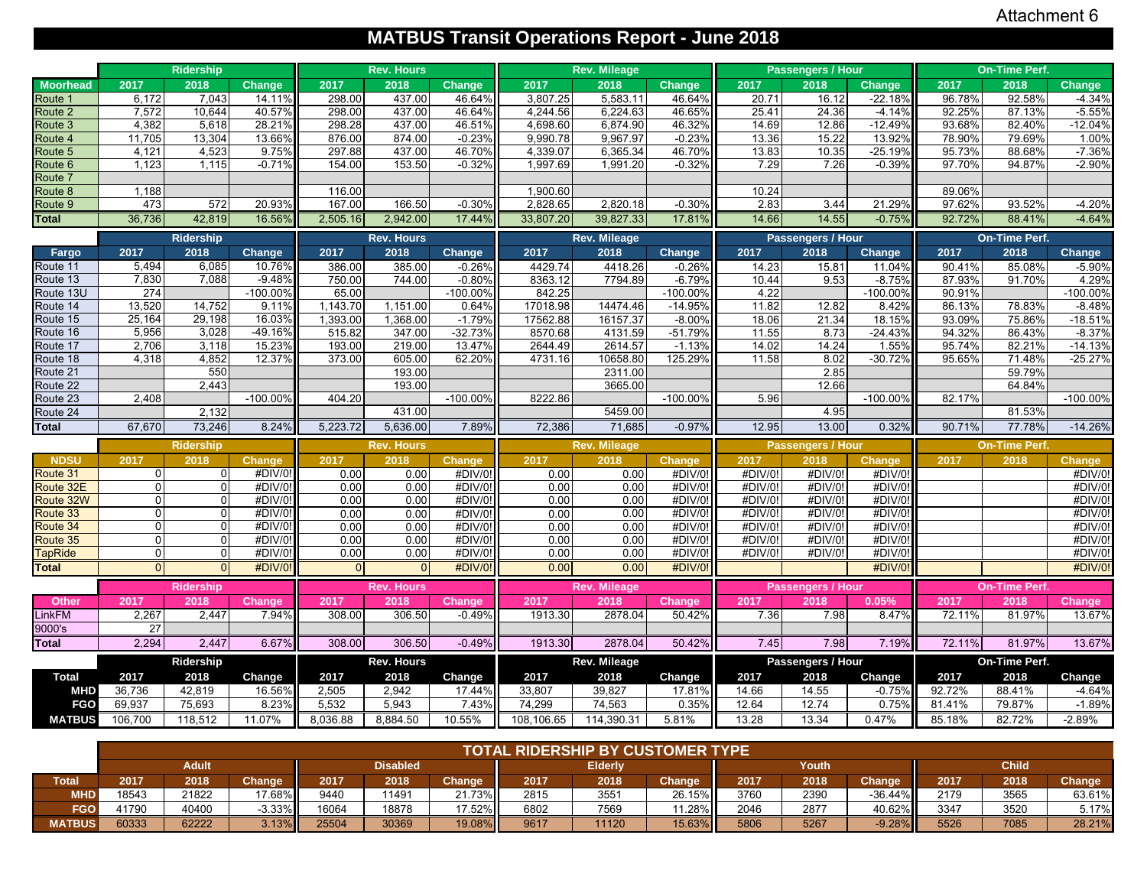# **MATBUS Transit Operations Report - June 2018**

|                       |                      | <b>Ridership</b> |                    |                  | <b>Rev. Hours</b>  |                          |                      | <b>Rev. Mileage</b>  |                          |                    | Passengers / Hour         |                    |        | <b>On-Time Perf.</b> |                   |
|-----------------------|----------------------|------------------|--------------------|------------------|--------------------|--------------------------|----------------------|----------------------|--------------------------|--------------------|---------------------------|--------------------|--------|----------------------|-------------------|
| <b>Moorhead</b>       | 2017                 | 2018             | Change             | 2017             | 2018               | <b>Change</b>            | 2017                 | 2018                 | Change                   | 2017               | 2018                      | Change             | 2017   | 2018                 | Change            |
| Route 1               | 6,172                | 7,043            | 14.11%             | 298.00           | 437.00             | 46.64%                   | 3,807.25             | 5,583.11             | 46.64%                   | 20.71              | 16.12                     | $-22.18%$          | 96.78% | 92.58%               | $-4.34%$          |
| Route 2               | 7,572                | 10,644           | 40.57%             | 298.00           | 437.00             | 46.64%                   | 4,244.56             | 6,224.63             | 46.65%                   | 25.41              | 24.36                     | $-4.14%$           | 92.25% | 87.13%               | $-5.55%$          |
| Route 3               | 4,382                | 5,618            | 28.21%             | 298.28           | 437.00             | 46.51%                   | 4,698.60             | 6,874.90             | 46.32%                   | 14.69              | 12.86                     | $-12.49%$          | 93.68% | 82.40%               | $-12.04%$         |
| Route 4               | 11,705               | 13,304           | 13.66%             | 876.00           | 874.00             | $-0.23%$                 | 9,990.78             | 9.967.97             | $-0.23%$                 | 13.36              | 15.22                     | 13.92%             | 78.90% | 79.69%               | 1.00%             |
| Route 5               | 4,121                | 4,523            | 9.75%              | 297.88           | 437.00             | 46.70%                   | 4,339.07             | 6,365.34             | 46.70%                   | 13.83              | 10.35                     | $-25.19%$          | 95.73% | 88.68%               | $-7.36%$          |
| Route <sub>6</sub>    | 1,123                | 1,115            | $-0.71%$           | 154.00           | 153.50             | $-0.32%$                 | 1.997.69             | 1,991.20             | $-0.32%$                 | 7.29               | 7.26                      | $-0.39%$           | 97.70% | 94.87%               | $-2.90%$          |
| Route 7               |                      |                  |                    |                  |                    |                          |                      |                      |                          |                    |                           |                    |        |                      |                   |
| Route 8               | 1,188<br>473         |                  | 20.93%             | 116.00<br>167.00 |                    |                          | 1,900.60<br>2,828.65 |                      |                          | 10.24              |                           | 21.29%             | 89.06% | 93.52%               | $-4.20%$          |
| Route 9               |                      | 572<br>42,819    |                    |                  | 166.50             | $-0.30%$                 |                      | 2,820.18             | $-0.30%$                 | 2.83               | 3.44                      |                    | 97.62% |                      |                   |
| <b>Total</b>          | 36,736               |                  | 16.56%             | 2,505.16         | 2,942.00           | 17.44%                   | 33,807.20            | 39,827.33            | 17.81%                   | 14.66              | 14.55                     | $-0.75%$           | 92.72% | 88.41%               | $-4.64%$          |
|                       |                      | Ridership        |                    |                  | <b>Rev. Hours</b>  |                          |                      | <b>Rev. Mileage</b>  |                          |                    | Passengers / Hour         |                    |        | On-Time Perf.        |                   |
| Fargo                 | 2017                 | 2018             | <b>Change</b>      | 2017             | 2018               | Change                   | 2017                 | 2018                 | <b>Change</b>            | 2017               | 2018                      | <b>Change</b>      | 2017   | 2018                 | Change            |
| Route 11              | 5,494                | 6,085            | 10.76%             | 386.00           | 385.00             | $-0.26%$                 | 4429.74              | 4418.26              | $-0.26%$                 | 14.23              | 15.81                     | 11.04%             | 90.41% | 85.08%               | $-5.90%$          |
| Route 13              | 7,830                | 7,088            | $-9.48%$           | 750.00           | 744.00             | $-0.80%$                 | 8363.12              | 7794.89              | $-6.79%$                 | 10.44              | 9.53                      | $-8.75%$           | 87.93% | 91.70%               | 4.29%             |
| Route 13U             | 274                  |                  | $-100.00%$         | 65.00            |                    | $-100.00%$               | 842.25               |                      | $-100.00%$               | 4.22               |                           | -100.00%           | 90.91% |                      | -100.00%          |
| Route 14              | 13,520               | 14,752           | 9.11%              | 1,143.70         | 1,151.00           | 0.64%                    | 17018.98             | 14474.46             | $-14.95%$                | 11.82              | 12.82                     | 8.42%              | 86.13% | 78.83%               | $-8.48%$          |
| Route 15              | 25,164               | 29,198           | 16.03%             | 1,393.00         | 1,368.00           | $-1.79%$                 | 17562.88             | 16157.37             | $-8.00%$                 | 18.06              | 21.34                     | 18.15%             | 93.09% | 75.86%               | $-18.51%$         |
| Route 16              | 5,956                | 3,028            | $-49.16%$          | 515.82           | 347.00             | $-32.73%$                | 8570.68              | 4131.59              | $-51.79%$                | 11.55              | 8.73                      | $-24.43%$          | 94.32% | 86.43%               | $-8.37%$          |
| Route 17              | 2,706                | 3,118            | 15.23%             | 193.00           | 219.00             | 13.47%                   | 2644.49              | 2614.57              | $-1.13%$                 | 14.02              | 14.24                     | 1.55%              | 95.74% | 82.21%               | $-14.13%$         |
| Route 18              | 4,318                | 4,852<br>550     | 12.37%             | 373.00           | 605.00             | 62.20%                   | 4731.16              | 10658.80             | 125.29%                  | 11.58              | 8.02                      | $-30.72%$          | 95.65% | 71.48%               | $-25.27%$         |
| Route 21<br>Route 22  |                      | 2,443            |                    |                  | 193.00<br>193.00   |                          |                      | 2311.00<br>3665.00   |                          |                    | 2.85<br>12.66             |                    |        | 59.79%<br>64.84%     |                   |
| Route 23              | 2,408                |                  | $-100.00%$         | 404.20           |                    | $-100.00%$               | 8222.86              |                      | $-100.00%$               | 5.96               |                           | $-100.00%$         | 82.17% |                      | $-100.00\%$       |
| Route 24              |                      | 2,132            |                    |                  | 431.00             |                          |                      | 5459.00              |                          |                    | 4.95                      |                    |        | 81.53%               |                   |
| <b>Total</b>          | 67,670               | 73,246           | 8.24%              | 5,223.72         | 5,636.00           | 7.89%                    | 72,386               | 71,685               | $-0.97%$                 | 12.95              | 13.00                     | 0.32%              | 90.71% | 77.78%               | $-14.26%$         |
|                       |                      |                  |                    |                  |                    |                          |                      |                      |                          |                    |                           |                    |        |                      |                   |
|                       |                      | <b>Ridership</b> |                    |                  | <b>Rev. Hours</b>  |                          |                      | <b>Rev. Mileage</b>  |                          |                    | Passengers / Hour         |                    |        | <b>On-Time Perf.</b> |                   |
| <b>NDSU</b>           | 2017                 | 2018<br>$\Omega$ | <b>Change</b>      | 2017             | 2018               | <b>Change</b><br>#DIV/0! | 2017<br>0.00         | 2018                 | <b>Change</b><br>#DIV/0! | 2017               | 2018<br>#DIV/0!           | Change             | 2017   | 2018                 | Change<br>#DIV/0! |
| Route 31<br>Route 32E | $\Omega$<br>$\Omega$ | $\Omega$         | #DIV/0!<br>#DIV/0! | 0.00<br>0.00     | 0.00<br>0.00       | #DIV/0!                  | 0.00                 | 0.00<br>0.00         | #DIV/0!                  | #DIV/0!            | #DIV/0!                   | #DIV/0!<br>#DIV/0! |        |                      | #DIV/0!           |
| Route 32W             | $\Omega$             | $\Omega$         | #DIV/0!            | 0.00             | 0.00               | #DIV/0!                  | 0.00                 | 0.00                 | #DIV/0!                  | #DIV/0!<br>#DIV/0! | #DIV/0!                   | #DIV/0!            |        |                      | #DIV/0!           |
| Route 33              | $\Omega$             | $\Omega$         | #DIV/0!            | 0.00             | 0.00               | #DIV/0!                  | 0.00                 | 0.00                 | #DIV/0!                  | #DIV/0!            | #DIV/0!                   | #DIV/0!            |        |                      | #DIV/0!           |
| Route 34              | $\Omega$             | $\Omega$         | #DIV/0!            | 0.00             | 0.00               | #DIV/0!                  | 0.00                 | 0.00                 | #DIV/0!                  | #DIV/0!            | #DIV/0!                   | #DIV/0!            |        |                      | #DIV/0!           |
| Route 35              | $\overline{0}$       | $\overline{0}$   | #DIV/0!            | 0.00             | 0.00               | #DIV/0!                  | 0.00                 | 0.00                 | #DIV/0!                  | #DIV/0!            | #DIV/0!                   | #DIV/0!            |        |                      | #DIV/0!           |
| <b>TapRide</b>        | $\Omega$             | $\Omega$         | #DIV/0!            | 0.00             | 0.00               | #DIV/0!                  | 0.00                 | 0.00                 | #DIV/0!                  | #DIV/0!            | #DIV/0!                   | #DIV/0!            |        |                      | #DIV/0!           |
| <b>Total</b>          | $\Omega$             | $\Omega$         | #DIV/0!            | $\overline{0}$   | $\overline{0}$     | #DIV/0!                  | 0.00                 | 0.00                 | #DIV/0!                  |                    |                           | #DIV/0!            |        |                      | #DIV/0!           |
|                       |                      | <b>Ridership</b> |                    |                  | <b>Rev. Hours</b>  |                          |                      | <b>Rev. Mileage</b>  |                          |                    | Passengers / Hour         |                    |        | <b>On-Time Perf.</b> |                   |
| Other                 | 2017                 | 2018             | <b>Change</b>      | 2017             | 2018               | <b>Change</b>            | 2017                 | 2018                 | Change                   | 2017               | 2018                      | 0.05%              | 2017   | 2018                 | <b>Change</b>     |
| LinkFM                | 2,267                | 2,447            | 7.94%              | 308.00           | 306.50             | $-0.49%$                 | 1913.30              | 2878.04              | 50.42%                   | 7.36               | 7.98                      | 8.47%              | 72.11% | 81.97%               | 13.67%            |
| 9000's                | 27                   |                  |                    |                  |                    |                          |                      |                      |                          |                    |                           |                    |        |                      |                   |
| <b>Total</b>          | 2.294                | 2,447            | 6.67%              | 308.00           | 306.50             | $-0.49%$                 | 1913.30              | 2878.04              | 50.42%                   | 7.45               | 7.98                      | 7.19%              | 72.11% | 81.97%               | 13.67%            |
|                       |                      | Ridership        |                    |                  |                    |                          |                      |                      |                          |                    |                           |                    |        | On-Time Perf.        |                   |
| <b>Total</b>          | 2017                 | 2018             | Change             | 2017             | Rev. Hours<br>2018 | Change                   | 2017                 | Rev. Mileage<br>2018 | Change                   | 2017               | Passengers / Hour<br>2018 | Change             | 2017   | 2018                 | Change            |
| <b>MHD</b>            | 36,736               | 42,819           | 16.56%             | 2,505            | 2,942              | 17.44%                   | 33,807               | 39,827               | 17.81%                   | 14.66              | 14.55                     | $-0.75%$           | 92.72% | 88.41%               | $-4.64%$          |
| <b>FGO</b>            | 69,937               | 75,693           | 8.23%              | 5,532            | 5,943              | 7.43%                    | 74,299               | 74,563               | 0.35%                    | 12.64              | 12.74                     | 0.75%              | 81.41% | 79.87%               | $-1.89%$          |
| <b>MATBUS</b>         | 106,700              | 118,512          | 11.07%             | 8,036.88         | 8,884.50           | 10.55%                   | 108,106.65           | 114,390.31           | 5.81%                    | 13.28              | 13.34                     | 0.47%              | 85.18% | 82.72%               | $-2.89%$          |
|                       |                      |                  |                    |                  |                    |                          |                      |                      |                          |                    |                           |                    |        |                      |                   |

|               |       |              |               |       |                 |                     | <b>TOTAL RIDERSHIP BY CUSTOMER TYPE</b> |                |          |      |       |               |      |              |               |
|---------------|-------|--------------|---------------|-------|-----------------|---------------------|-----------------------------------------|----------------|----------|------|-------|---------------|------|--------------|---------------|
|               |       | <b>Adult</b> |               |       | <b>Disabled</b> |                     |                                         | <b>Elderly</b> |          |      | Youth |               |      | <b>Child</b> |               |
| <b>Total</b>  | 2017  | 2018         | <b>Change</b> | 2017  | 2018            | Change <sup>1</sup> | 2017                                    | 2018           | Change   | 2017 | 2018  | <b>Change</b> | 2017 | 2018         | <b>Change</b> |
| <b>MHD</b>    | 18543 | 21822        | $17.68\%$     | 9440  | 11491           | 21.73%II            | 2815                                    | 3551           | 26.15%   | 3760 | 2390  | $-36.44\%$ II | 2179 | 3565         | 63.61%        |
| FGO           | 41790 | 40400        | $-3.33\%$     | 16064 | 18878           | 17.52%              | 6802                                    | 7569           | $1.28\%$ | 2046 | 2877  | 40.62%        | 3347 | 3520         | 5.17%         |
| <b>MATBUS</b> | 60333 | 62222        | 3.13%         | 25504 | 30369           | 19.08%              | 9617                                    | 11120          | 15.63%   | 5806 | 5267  | $-9.28\%$     | 5526 | 7085         | 28.21%        |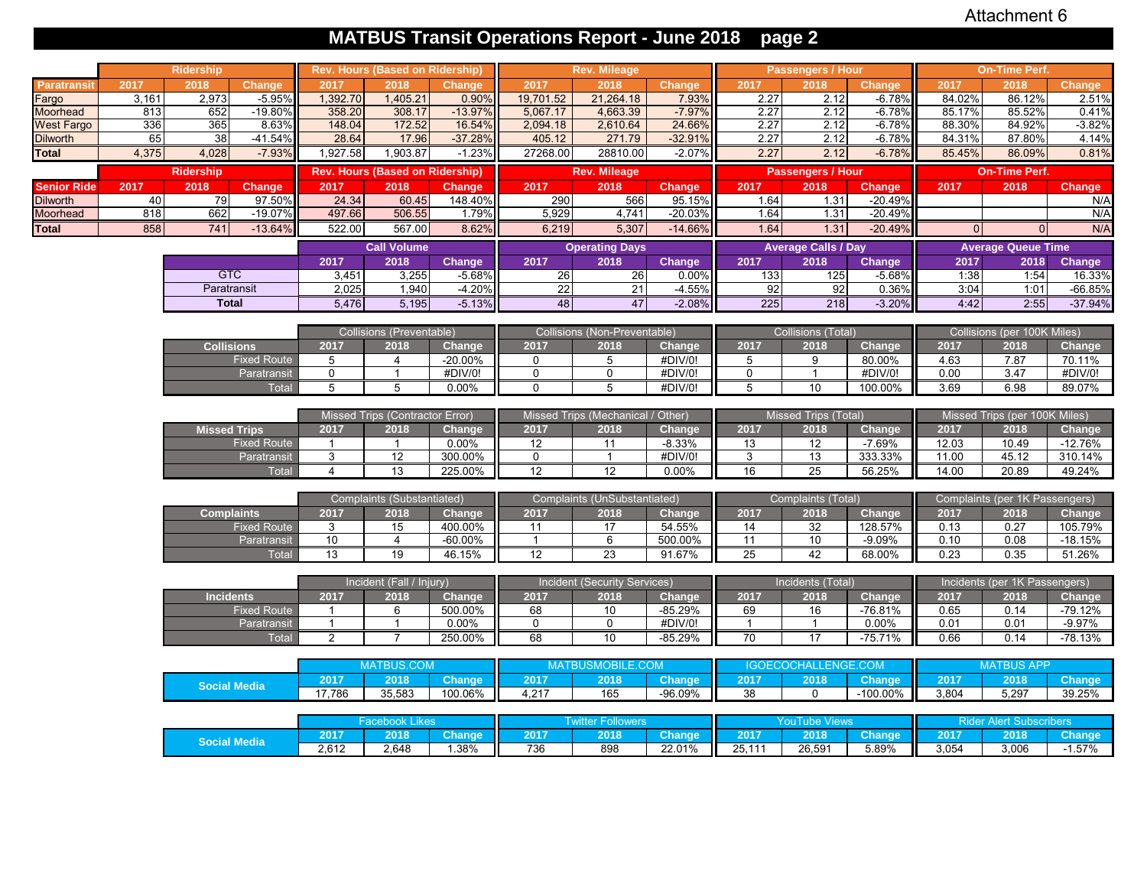# **MATBUS Transit Operations Report - June 2018 page 2**

|                    |       | Ridership           |                    |                 | <b>Rev. Hours (Based on Ridership)</b> |               |                 | <b>Rev. Mileage</b>               |               |                 | <b>Passengers / Hour</b>   |               |          | <b>On-Time Perf.</b>           |               |
|--------------------|-------|---------------------|--------------------|-----------------|----------------------------------------|---------------|-----------------|-----------------------------------|---------------|-----------------|----------------------------|---------------|----------|--------------------------------|---------------|
| <b>Paratransit</b> | 2017  | 2018                | <b>Change</b>      | 2017            | 2018                                   | Change        | 2017            | 2018                              | <b>Change</b> | 2017            | 2018                       | Change        | 2017     | 2018                           | <b>Change</b> |
| Fargo              | 3,161 | 2,973               | $-5.95%$           | 1,392.70        | 1,405.21                               | 0.90%         | 19,701.52       | 21,264.18                         | 7.93%         | 2.27            | 2.12                       | $-6.78%$      | 84.02%   | 86.12%                         | 2.51%         |
| Moorhead           | 813   | 652                 | $-19.80%$          | 358.20          | 308.17                                 | $-13.97%$     | 5,067.17        | 4,663.39                          | $-7.97%$      | 2.27            | 2.12                       | $-6.78%$      | 85.17%   | 85.52%                         | 0.41%         |
| <b>West Fargo</b>  | 336   | 365                 | 8.63%              | 148.04          | 172.52                                 | 16.54%        | 2,094.18        | 2,610.64                          | 24.66%        | 2.27            | 2.12                       | $-6.78%$      | 88.30%   | 84.92%                         | $-3.82%$      |
| <b>Dilworth</b>    | 65    | 38                  | $-41.54%$          | 28.64           | 17.96                                  | $-37.28%$     | 405.12          | 271.79                            | $-32.91%$     | 2.27            | 2.12                       | $-6.78%$      | 84.31%   | 87.80%                         | 4.14%         |
| <b>Total</b>       | 4,375 | 4,028               | $-7.93%$           | 1,927.58        | 1,903.87                               | $-1.23%$      | 27268.00        | 28810.00                          | $-2.07%$      | 2.27            | 2.12                       | $-6.78%$      | 85.45%   | 86.09%                         | 0.81%         |
|                    |       | <b>Ridership</b>    |                    |                 | <b>Rev. Hours (Based on Ridership)</b> |               |                 | <b>Rev. Mileage</b>               |               |                 | <b>Passengers / Hour</b>   |               |          | <b>On-Time Perf.</b>           |               |
| <b>Senior Ride</b> | 2017  | 2018                | <b>Change</b>      | 2017            | 2018                                   | Change        | 2017            | 2018                              | <b>Change</b> | 2017            | 2018                       | <b>Change</b> | 2017     | 2018                           | <b>Change</b> |
| <b>Dilworth</b>    | 40    | 79                  | 97.50%             | 24.34           | 60.45                                  | 148.40%       | 290             | 566                               | 95.15%        | 1.64            | 1.31                       | $-20.49%$     |          |                                | N/A           |
| Moorhead           | 818   | 662                 | $-19.07%$          | 497.66          | 506.55                                 | 1.79%         | 5.929           | 4,741                             | $-20.03%$     | 1.64            | 1.31                       | $-20.49%$     |          |                                | N/A           |
| <b>Total</b>       | 858   | 741                 | $-13.64%$          | 522.00          | 567.00                                 | 8.62%         | 6,219           | 5,307                             | $-14.66%$     | 1.64            | 1.31                       | $-20.49%$     | $\Omega$ | $\Omega$                       | N/A           |
|                    |       |                     |                    |                 | <b>Call Volume</b>                     |               |                 | <b>Operating Days</b>             |               |                 | <b>Average Calls / Day</b> |               |          | <b>Average Queue Time</b>      |               |
|                    |       |                     |                    | 2017            | 2018                                   | <b>Change</b> | 2017            | 2018                              | <b>Change</b> | 2017            | 2018                       | Change        | 2017     | 2018                           | <b>Change</b> |
|                    |       | <b>GTC</b>          |                    | 3,451           | 3,255                                  | $-5.68%$      | 26              | 26                                | 0.00%         | 133             | 125                        | $-5.68%$      | 1:38     | 1:54                           | 16.33%        |
|                    |       | Paratransit         |                    | 2,025           | 1,940                                  | $-4.20%$      | $\overline{22}$ | 21                                | $-4.55%$      | 92              | 92                         | 0.36%         | 3:04     | 1:01                           | $-66.85%$     |
|                    |       | <b>Total</b>        |                    | 5,476           | 5,195                                  | $-5.13%$      | $\overline{48}$ | 47                                | $-2.08%$      | 225             | 218                        | $-3.20%$      | 4:42     | 2:55                           | $-37.94%$     |
|                    |       |                     |                    |                 |                                        |               |                 |                                   |               |                 |                            |               |          |                                |               |
|                    |       |                     |                    |                 | Collisions (Preventable)               |               |                 | Collisions (Non-Preventable)      |               |                 | Collisions (Total)         |               |          | Collisions (per 100K Miles)    |               |
|                    |       | <b>Collisions</b>   |                    | 2017            | 2018                                   | Change        | 2017            | 2018                              | Change        | 2017            | 2018                       | Change        | 2017     | 2018                           | Change        |
|                    |       |                     | <b>Fixed Route</b> | $5\phantom{.0}$ | $\overline{4}$                         | $-20.00\%$    | $\mathbf 0$     | 5                                 | #DIV/0!       | $5\phantom{.0}$ | $\overline{9}$             | 80.00%        | 4.63     | 7.87                           | 70.11%        |
|                    |       |                     | Paratransit        | $\mathbf 0$     | $\mathbf{1}$                           | #DIV/0!       | $\mathbf 0$     | 0                                 | #DIV/0!       | $\mathbf 0$     | $\mathbf{1}$               | #DIV/0!       | 0.00     | 3.47                           | #DIV/0!       |
|                    |       |                     | <b>Total</b>       | 5               | $\overline{5}$                         | 0.00%         | $\overline{0}$  | $\overline{5}$                    | #DIV/0!       | $\overline{5}$  | 10                         | 100.00%       | 3.69     | 6.98                           | 89.07%        |
|                    |       |                     |                    |                 | Missed Trips (Contractor Error)        |               |                 | Missed Trips (Mechanical / Other) |               |                 | Missed Trips (Total)       |               |          | Missed Trips (per 100K Miles)  |               |
|                    |       | <b>Missed Trips</b> |                    | 2017            | 2018                                   | Change        | 2017            | 2018                              | Change        | 2017            | 2018                       | Change        | 2017     | 2018                           | Change        |
|                    |       |                     | <b>Fixed Route</b> | $\overline{1}$  | $\overline{1}$                         | 0.00%         | 12              | 11                                | $-8.33%$      | 13              | 12                         | $-7.69%$      | 12.03    | 10.49                          | $-12.76%$     |
|                    |       |                     | Paratransit        | 3               | 12                                     | 300.00%       | $\mathbf 0$     | $\mathbf{1}$                      | #DIV/0!       | 3               | 13                         | 333.33%       | 11.00    | 45.12                          | 310.14%       |
|                    |       |                     | Total              | $\overline{4}$  | 13                                     | 225.00%       | $\overline{12}$ | $\overline{12}$                   | 0.00%         | 16              | $\overline{25}$            | 56.25%        | 14.00    | 20.89                          | 49.24%        |
|                    |       |                     |                    |                 |                                        |               |                 |                                   |               |                 |                            |               |          |                                |               |
|                    |       |                     |                    |                 | Complaints (Substantiated)             |               |                 | Complaints (UnSubstantiated)      |               |                 | Complaints (Total)         |               |          | Complaints (per 1K Passengers) |               |
|                    |       | <b>Complaints</b>   |                    | 2017            | 2018                                   | Change        | 2017            | 2018                              | <b>Change</b> | 2017            | 2018                       | Change        | 2017     | 2018                           | Change        |
|                    |       |                     | <b>Fixed Route</b> | 3               | 15                                     | 400.00%       | 11              | 17                                | 54.55%        | 14              | $\overline{32}$            | 128.57%       | 0.13     | 0.27                           | 105.79%       |
|                    |       |                     | Paratransit        | 10              | $\overline{4}$                         | $-60.00\%$    | $\mathbf{1}$    | 6                                 | 500.00%       | 11              | 10                         | $-9.09%$      | 0.10     | 0.08                           | $-18.15%$     |
|                    |       |                     | <b>Total</b>       | 13              | 19                                     | 46.15%        | 12              | 23                                | 91.67%        | 25              | 42                         | 68.00%        | 0.23     | 0.35                           | 51.26%        |
|                    |       |                     |                    |                 |                                        |               |                 |                                   |               |                 |                            |               |          |                                |               |
|                    |       |                     |                    |                 | Incident (Fall / Injury)               |               |                 | Incident (Security Services)      |               |                 | Incidents (Total)          |               |          | Incidents (per 1K Passengers)  |               |
|                    |       | <b>Incidents</b>    |                    | 2017            | 2018                                   | Change        | 2017            | 2018                              | Change        | 2017            | 2018                       | Change        | 2017     | 2018                           | Change        |
|                    |       |                     | <b>Fixed Route</b> | $\overline{1}$  | 6                                      | 500.00%       | 68              | 10                                | $-85.29%$     | 69              | 16                         | $-76.81%$     | 0.65     | 0.14                           | $-79.12%$     |
|                    |       |                     | Paratransit        | $\overline{1}$  | $\overline{1}$                         | 0.00%         | $\overline{0}$  | $\overline{0}$                    | #DIV/0!       | $\overline{1}$  | $\overline{1}$             | 0.00%         | 0.01     | 0.01                           | $-9.97%$      |
|                    |       |                     | Total              | $\overline{2}$  | $\overline{7}$                         | 250.00%       | 68              | 10                                | $-85.29%$     | 70              | 17                         | $-75.71%$     | 0.66     | 0.14                           | $-78.13%$     |
|                    |       |                     |                    |                 | <b>MATBUS.COM</b>                      |               |                 | MATBUSMOBILE.COM                  |               |                 | IGOECOCHALLENGE.COM        |               |          | <b>MATBUS APP</b>              |               |
|                    |       |                     |                    | 2017            | 2018                                   | <b>Change</b> | 2017            | 2018                              | Change        | 2017            | 2018                       | <b>Change</b> | 2017     | 2018                           | <b>Change</b> |
|                    |       | <b>Social Media</b> |                    | 17,786          | 35,583                                 | 100.06%       | 4,217           | 165                               | -96.09%       | 38              | $\mathbf 0$                | $-100.00\%$   | 3,804    | 5,297                          | 39.25%        |
|                    |       |                     |                    |                 |                                        |               |                 |                                   |               |                 |                            |               |          |                                |               |
|                    |       |                     |                    |                 | <b>Facebook Likes</b>                  |               |                 | <b>Twitter Followers</b>          |               |                 | <b>YouTube Views</b>       |               |          | <b>Rider Alert Subscribers</b> |               |
|                    |       |                     |                    | 2017            | 2018                                   | Change        | 2017            | 2018                              | <b>Change</b> | 2017            | 2018                       | <b>Change</b> | 2017     | 2018                           | <b>Change</b> |
|                    |       | <b>Social Media</b> |                    | 2,612           | 2,648                                  | 1.38%         | 736             | 898                               | 22.01%        | 25,111          | 26,591                     | 5.89%         | 3,054    | 3,006                          | $-1.57%$      |
|                    |       |                     |                    |                 |                                        |               |                 |                                   |               |                 |                            |               |          |                                |               |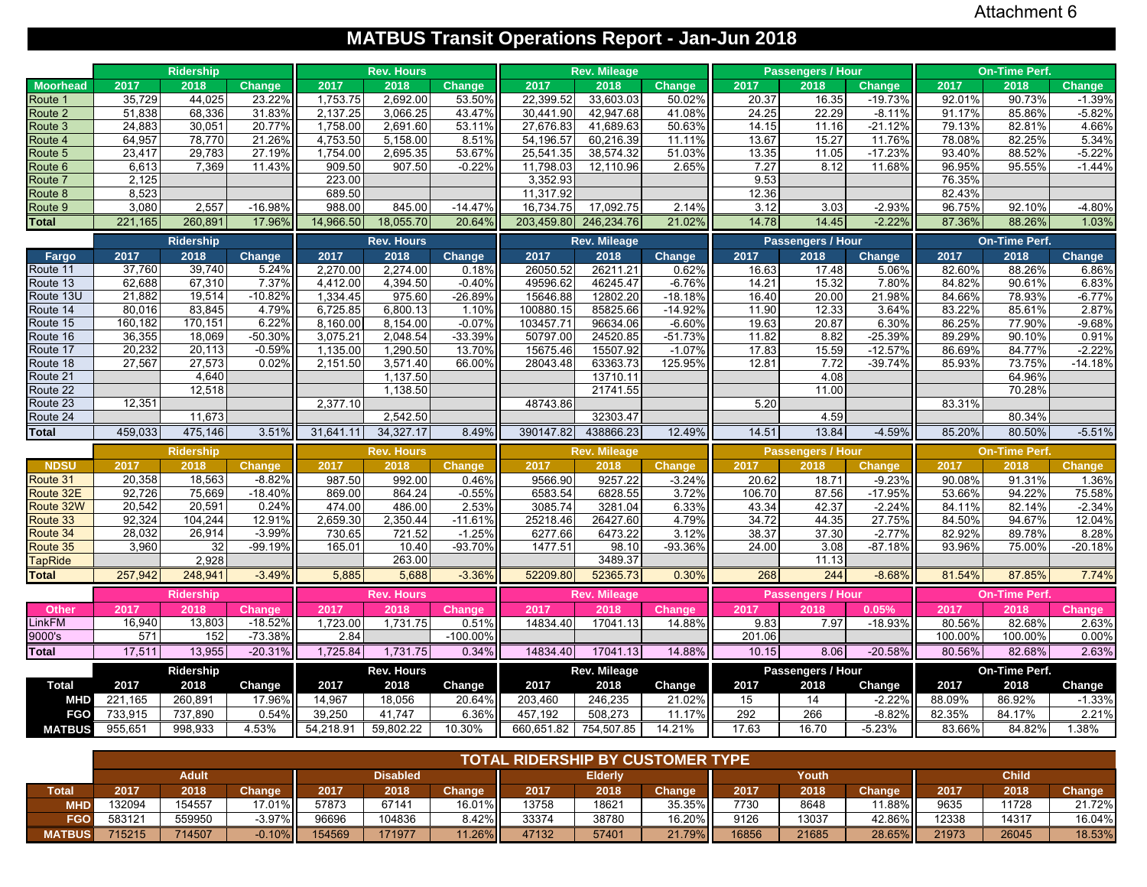## **MATBUS Transit Operations Report - Jan-Jun 2018**

|                      |                  | <b>Ridership</b> |                   |                      | <b>Rev. Hours</b>    |               |                      | <b>Rev. Mileage</b>  |                     |        | <b>Passengers / Hour</b> |                        |         | <b>On-Time Perf.</b> |                       |
|----------------------|------------------|------------------|-------------------|----------------------|----------------------|---------------|----------------------|----------------------|---------------------|--------|--------------------------|------------------------|---------|----------------------|-----------------------|
| <b>Moorhead</b>      | 2017             | 2018             | <b>Change</b>     | 2017                 | 2018                 | <b>Change</b> | 2017                 | 2018                 | <b>Change</b>       | 2017   | 2018                     | Change                 | 2017    | 2018                 | Change                |
| Route <sup>2</sup>   | 35,729           | 44,025           | 23.22%            | 1,753.75             | 2,692.00             | 53.50%        | 22,399.52            | 33,603.03            | 50.02%              | 20.37  | 16.35                    | $-19.73%$              | 92.01%  | 90.73%               | $-1.39%$              |
| Route 2              | 51,838           | 68,336           | 31.83%            | 2,137.25             | 3,066.25             | 43.47%        | 30,441.90            | 42.947.68            | 41.08%              | 24.25  | 22.29                    | $-8.11%$               | 91.17%  | 85.86%               | $-5.82%$              |
| Route 3              | 24,883           | 30,051           | 20.77%            | 1,758.00             | 2,691.60             | 53.11%        | 27,676.83            | 41,689.63            | 50.63%              | 14.15  | 11.16                    | $-21.12%$              | 79.13%  | 82.81%               | 4.66%                 |
| Route 4              | 64,957           | 78,770           | 21.26%            | 4,753.50             | 5,158.00             | 8.51%         | 54,196.57            | 60,216.39            | 11.11%              | 13.67  | 15.27                    | 11.76%                 | 78.08%  | 82.25%               | 5.34%                 |
| Route 5              | 23,417           | 29,783           | 27.19%            | 1,754.00             | 2,695.35             | 53.67%        | 25,541.35            | 38,574.32            | 51.03%              | 13.35  | 11.05                    | $-17.23%$              | 93.40%  | 88.52%               | $-5.22%$              |
| Route 6              | 6,613            | 7,369            | 11.43%            | 909.50               | 907.50               | $-0.22%$      | 11,798.03            | 12,110.96            | 2.65%               | 7.27   | 8.12                     | 11.68%                 | 96.95%  | 95.55%               | $-1.44%$              |
| Route 7              | 2,125            |                  |                   | 223.00               |                      |               | 3,352.93             |                      |                     | 9.53   |                          |                        | 76.35%  |                      |                       |
| Route 8              | 8,523            |                  |                   | 689.50               |                      |               | 11,317.92            |                      |                     | 12.36  |                          |                        | 82.43%  |                      |                       |
| Route 9              | 3,080            | 2,557            | $-16.98%$         | 988.00               | 845.00               | $-14.47%$     | 16,734.75            | 17,092.75            | 2.14%               | 3.12   | 3.03                     | $-2.93%$               | 96.75%  | 92.10%               | $-4.80%$              |
| <b>Total</b>         | 221,165          | 260,891          | 17.96%            | 14,966.50            | 18,055.70            | 20.64%        | 203,459.80           | 246,234.76           | 21.02%              | 14.78  | 14.45                    | $-2.22%$               | 87.36%  | 88.26%               | 1.03%                 |
|                      |                  | <b>Ridership</b> |                   |                      | <b>Rev. Hours</b>    |               |                      | <b>Rev. Mileage</b>  |                     |        | Passengers / Hour        |                        |         | <b>On-Time Perf.</b> |                       |
| Fargo                | 2017             | 2018             | Change            | 2017                 | 2018                 | Change        | 2017                 | 2018                 | Change              | 2017   | 2018                     | Change                 | 2017    | 2018                 | Change                |
| Route 11             | 37,760           | 39,740           | 5.24%             | 2,270.00             | 2,274.00             | 0.18%         | 26050.52             | 26211.21             | 0.62%               | 16.63  | 17.48                    | 5.06%                  | 82.60%  | 88.26%               | 6.86%                 |
| Route 13             | 62,688           | 67,310           | 7.37%             | 4,412.00             | 4,394.50             | $-0.40%$      | 49596.62             | 46245.47             | $-6.769$            | 14.21  | 15.32                    | 7.80%                  | 84.82%  | 90.61%               | 6.83%                 |
| Route 13U            | 21,882           | 19,514           | $-10.82%$         | 1,334.45             | 975.60               | $-26.89%$     | 15646.88             | 12802.20             | $-18.18%$           | 16.40  | 20.00                    | 21.98%                 | 84.66%  | 78.93%               | $-6.77%$              |
| Route 14             | 80,016           | 83,845           | 4.79%             | 6,725.85             | 6,800.13             | 1.10%         | 100880.15            | 85825.66             | $-14.92%$           | 11.90  | 12.33                    | 3.64%                  | 83.22%  | 85.61%               | 2.87%                 |
| Route 15             | 160,182          | 170,151          | 6.22%             | 8,160.00             | 8,154.00             | $-0.07%$      | 103457.71            | 96634.06             | $-6.60%$            | 19.63  | 20.87                    | 6.30%                  | 86.25%  | 77.90%               | $-9.68%$              |
| Route 16             | 36,355           | 18,069           | -50.30%           | 3,075.21             | 2,048.54             | $-33.39%$     | 50797.00             | 24520.85             | $-51.73%$           | 11.82  | 8.82                     | $-25.39%$              | 89.29%  | 90.10%               | 0.91%                 |
| Route 17             | 20,232<br>27,567 | 20.113<br>27,573 | $-0.59%$<br>0.02% | 1,135.00<br>2,151.50 | 1,290.50<br>3,571.40 | 13.70%        | 15675.46<br>28043.48 | 15507.92<br>63363.73 | $-1.07%$<br>125.95% | 17.83  | 15.59                    | $-12.57%$<br>$-39.74%$ | 86.69%  | 84.77%               | $-2.22%$<br>$-14.18%$ |
| Route 18<br>Route 21 |                  | 4,640            |                   |                      | 1,137.50             | 66.00%        |                      | 13710.11             |                     | 12.81  | 7.72<br>4.08             |                        | 85.93%  | 73.75%<br>64.96%     |                       |
| Route 22             |                  | 12,518           |                   |                      | 1,138.50             |               |                      | 21741.55             |                     |        | 11.00                    |                        |         | 70.28%               |                       |
| Route 23             | 12.351           |                  |                   | 2,377.10             |                      |               | 48743.86             |                      |                     | 5.20   |                          |                        | 83.31%  |                      |                       |
| Route 24             |                  | 11,673           |                   |                      | 2,542.50             |               |                      | 32303.47             |                     |        | 4.59                     |                        |         | 80.34%               |                       |
| <b>Total</b>         | 459,033          | 475,146          | 3.51%             | 31,641.11            | 34,327.17            | 8.49%         | 390147.82            | 438866.23            | 12.49%              | 14.51  | 13.84                    | -4.59%                 | 85.20%  | 80.50%               | $-5.51%$              |
|                      |                  | <b>Ridership</b> |                   |                      | <b>Rev. Hours</b>    |               |                      | <b>Rev. Mileage</b>  |                     |        | <b>Passengers / Hour</b> |                        |         | <b>On-Time Perf.</b> |                       |
| <b>NDSU</b>          | 2017             | 2018             | Change            | 2017                 | 2018                 | <b>Change</b> | 2017                 | 2018                 | Change              | 2017   | 2018                     | <b>Change</b>          | 2017    | 2018                 | Change                |
| Route 31             | 20,358           | 18,563           | $-8.82%$          | 987.50               | 992.00               | 0.46%         | 9566.90              | 9257.22              | $-3.24%$            | 20.62  | 18.71                    | $-9.23%$               | 90.08%  | 91.31%               | 1.36%                 |
| Route 32E            | 92,726           | 75,669           | $-18.40%$         | 869.00               | 864.24               | $-0.55%$      | 6583.54              | 6828.55              | 3.72%               | 106.70 | 87.56                    | $-17.95%$              | 53.66%  | 94.22%               | 75.58%                |
| Route 32W            | 20,542           | 20,591           | 0.24%             | 474.00               | 486.00               | 2.53%         | 3085.74              | 3281.04              | 6.33%               | 43.34  | 42.37                    | $-2.24%$               | 84.11%  | 82.14%               | $-2.34%$              |
| Route 33             | 92,324           | 104,244          | 12.91%            | 2,659.30             | 2,350.44             | $-11.61%$     | 25218.46             | 26427.60             | 4.79%               | 34.72  | 44.35                    | 27.75%                 | 84.50%  | 94.67%               | 12.04%                |
| Route 34             | 28,032           | 26,914           | $-3.99%$          | 730.65               | 721.52               | $-1.25%$      | 6277.66              | 6473.22              | 3.12%               | 38.37  | 37.30                    | $-2.77%$               | 82.92%  | 89.78%               | 8.28%                 |
| Route 35             | 3,960            | 32               | $-99.19%$         | 165.01               | 10.40                | -93.70%       | 1477.51              | 98.10                | -93.36%             | 24.00  | 3.08                     | $-87.18%$              | 93.96%  | 75.00%               | $-20.18%$             |
| <b>TapRide</b>       |                  | 2,928            |                   |                      | 263.00               |               |                      | 3489.37              |                     |        | 11.13                    |                        |         |                      |                       |
| <b>Total</b>         | 257,942          | 248,941          | $-3.49%$          | 5,885                | 5,688                | $-3.36%$      | 52209.80             | 52365.73             | 0.30%               | 268    | 244                      | $-8.68%$               | 81.54%  | 87.85%               | 7.74%                 |
|                      |                  | <b>Ridership</b> |                   |                      | <b>Rev. Hours</b>    |               |                      | <b>Rev. Mileage</b>  |                     |        | <b>Passengers / Hour</b> |                        |         | <b>On-Time Perf.</b> |                       |
| Other                | 2017             | 2018             | Change            | 2017                 | 2018                 | <b>Change</b> | 2017                 | 2018                 | Change              | 2017   | 2018                     | 0.05%                  | 2017    | 2018                 | Change                |
| LinkFM               | 16,940           | 13,803           | $-18.52%$         | 1,723.00             | 1,731.75             | 0.51%         | 14834.40             | 17041.13             | 14.88%              | 9.83   | 7.97                     | $-18.93%$              | 80.56%  | 82.68%               | 2.63%                 |
| 9000's               | 571              | 152              | $-73.38%$         | 2.84                 |                      | $-100.00%$    |                      |                      |                     | 201.06 |                          |                        | 100.00% | 100.00%              | 0.00%                 |
| <b>Total</b>         | 17,511           | 13,955           | $-20.31%$         | 1,725.84             | 1,731.75             | 0.34%         | 14834.40             | 17041.13             | 14.88%              | 10.15  | 8.06                     | $-20.58%$              | 80.56%  | 82.68%               | 2.63%                 |
|                      |                  | Ridership        |                   |                      | <b>Rev. Hours</b>    |               |                      | Rev. Mileage         |                     |        | Passengers / Hour        |                        |         | On-Time Perf.        |                       |
| <b>Total</b>         | 2017             | 2018             | Change            | 2017                 | 2018                 | Change        | 2017                 | 2018                 | Change              | 2017   | 2018                     | Change                 | 2017    | 2018                 | Change                |
| <b>MHD</b>           | 221,165          | 260,891          | 17.96%            | 14,967               | 18,056               | 20.64%        | 203,460              | 246,235              | 21.02%              | 15     | 14                       | $-2.22%$               | 88.09%  | 86.92%               | $-1.33%$              |
| <b>FGO</b>           | 733,915          | 737,890          | 0.54%             | 39,250               | 41,747               | 6.36%         | 457,192              | 508,273              | 11.17%              | 292    | 266                      | $-8.82%$               | 82.35%  | 84.17%               | 2.21%                 |
| <b>MATBUS</b>        | 955,651          | 998,933          | 4.53%             | 54,218.91            | 59,802.22            | 10.30%        | 660,651.82           | 754,507.85           | 14.21%              | 17.63  | 16.70                    | $-5.23%$               | 83.66%  | 84.82%               | 1.38%                 |
|                      |                  |                  |                   |                      |                      |               |                      |                      |                     |        |                          |                        |         |                      |                       |

|               |        |        |               |        |                 |           | <b>TOTAL RIDERSHIP BY CUSTOMER TYPE</b> |                |               |       |       |               |       |              |               |
|---------------|--------|--------|---------------|--------|-----------------|-----------|-----------------------------------------|----------------|---------------|-------|-------|---------------|-------|--------------|---------------|
|               |        | Adult  |               |        | <b>Disabled</b> |           |                                         | <b>Elderly</b> |               |       | Youth |               |       | <b>Child</b> |               |
| Total         | 2017   | 2018   | <b>Change</b> | 2017   | 2018            | Change    | 2017                                    | 2018           | <b>Change</b> | 2017  | 2018  | <b>Change</b> | 2017  | 2018         | <b>Change</b> |
| <b>MHD</b>    | 132094 | 154557 | 17.01%        | 57873  | 67141           | $16.01\%$ | 13758                                   | 18621          | 35.35%        | 7730  | 8648  | 11.88% I      | 9635  | 11728        | 21.72%        |
| <b>FGO</b>    | 583121 | 559950 | $-3.97\%$     | 96696  | 104836          | $8.42\%$  | 33374                                   | 38780          | 16.20%II      | 9126  | 13037 | 42.86%II      | 12338 | 14317        | 16.04%        |
| <b>MATBUS</b> | 715215 | 714507 | $-0.10%$      | 154569 | 171977          | $1.26\%$  | 47132                                   | 57401          | $21.79\%$     | 16856 | 21685 | 28.65%        | 21973 | 26045        | 18.53%        |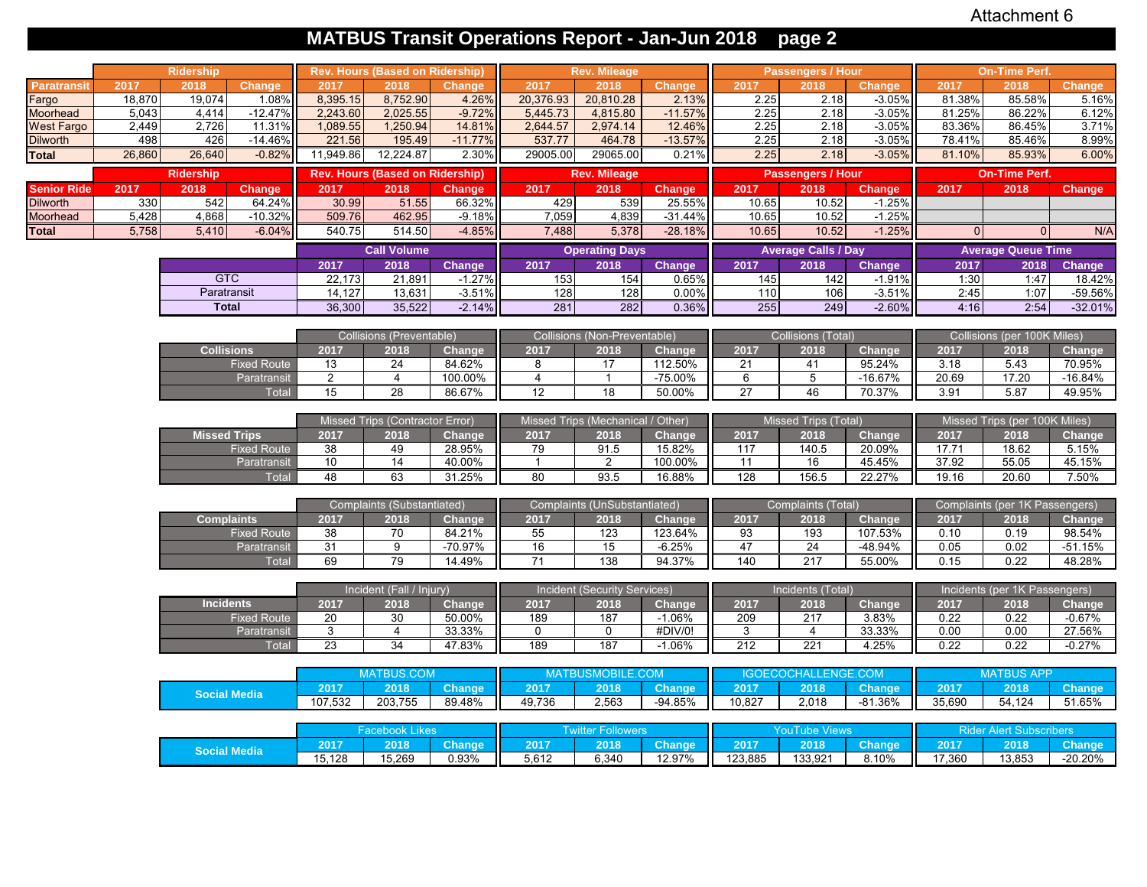# **MATBUS Transit Operations Report - Jan-Jun 2018 page 2**

|                    |        | <b>Ridership</b>    |                    |                 | <b>Rev. Hours (Based on Ridership)</b> |               |                 | <b>Rev. Mileage</b>               |                            |                | <b>Passengers / Hour</b>    |               |                | <b>On-Time Perf.</b>           |               |
|--------------------|--------|---------------------|--------------------|-----------------|----------------------------------------|---------------|-----------------|-----------------------------------|----------------------------|----------------|-----------------------------|---------------|----------------|--------------------------------|---------------|
| <b>Paratransit</b> | 2017   | 2018                | Change             | 2017            | 2018                                   | Change        | 2017            | 2018                              | <b>Change</b>              | 2017           | 2018                        | Change        | 2017           | 2018                           | Change        |
| Fargo              | 18,870 | 19,074              | 1.08%              | 8,395.15        | 8,752.90                               | 4.26%         | 20,376.93       | 20,810.28                         | 2.13%                      | 2.25           | 2.18                        | $-3.05%$      | 81.38%         | 85.58%                         | 5.16%         |
| Moorhead           | 5,043  | 4,414               | $-12.47%$          | 2,243.60        | 2,025.55                               | $-9.72%$      | 5,445.73        | 4,815.80                          | $-11.57%$                  | 2.25           | 2.18                        | $-3.05%$      | 81.25%         | 86.22%                         | 6.12%         |
| West Fargo         | 2,449  | 2,726               | 11.31%             | 1,089.55        | 1,250.94                               | 14.81%        | 2,644.57        | 2,974.14                          | 12.46%                     | 2.25           | 2.18                        | $-3.05%$      | 83.36%         | 86.45%                         | 3.71%         |
| <b>Dilworth</b>    | 498    | 426                 | $-14.46%$          | 221.56          | 195.49                                 | $-11.77%$     | 537.77          | 464.78                            | $-13.57%$                  | 2.25           | 2.18                        | $-3.05%$      | 78.41%         | 85.46%                         | 8.99%         |
| Total              | 26,860 | 26,640              | $-0.82%$           | 11,949.86       | 12,224.87                              | 2.30%         | 29005.00        | 29065.00                          | 0.21%                      | 2.25           | 2.18                        | $-3.05%$      | 81.10%         | 85.93%                         | 6.00%         |
|                    |        | <b>Ridership</b>    |                    |                 | <b>Rev. Hours (Based on Ridership)</b> |               |                 | <b>Rev. Mileage</b>               |                            |                | <b>Passengers / Hour</b>    |               |                | <b>On-Time Perf.</b>           |               |
| Senior Ride        | 2017   | 2018                | <b>Change</b>      | 2017            | 2018                                   | <b>Change</b> | 2017            | 2018                              | <b>Change</b>              | 2017           | 2018                        | Change        | 2017           | 2018                           | <b>Change</b> |
| <b>Dilworth</b>    | 330    | 542                 | 64.24%             | 30.99           | 51.55                                  | 66.32%        | 429             | 539                               | 25.55%                     | 10.65          | 10.52                       | $-1.25%$      |                |                                |               |
| Moorhead           | 5,428  | 4,868               | $-10.32%$          | 509.76          | 462.95                                 | $-9.18%$      | 7.059           | 4,839                             | $-31.44%$                  | 10.65          | 10.52                       | $-1.25%$      |                |                                |               |
| Total              | 5,758  | 5,410               | $-6.04%$           | 540.75          | 514.50                                 | $-4.85%$      | 7,488           | 5,378                             | $-28.18%$                  | 10.65          | 10.52                       | $-1.25%$      | 0              | $\Omega$                       | N/A           |
|                    |        |                     |                    |                 | <b>Call Volume</b>                     |               |                 | <b>Operating Days</b>             |                            |                | <b>Average Calls / Day</b>  |               |                | <b>Average Queue Time</b>      |               |
|                    |        |                     |                    | 2017            | 2018                                   | Change        | 2017            | 2018                              | Change                     | 2017           | 2018                        | <b>Change</b> | 2017           | 2018                           | Change        |
|                    |        | <b>GTC</b>          |                    | 22,173          | 21,891                                 | $-1.27%$      | 153             | 154                               | 0.65%                      | 145            | 142                         | $-1.91%$      | 1:30           | 1:47                           | 18.42%        |
|                    |        | Paratransit         |                    | 14,127          | 13,631                                 | $-3.51%$      | 128             | 128                               | 0.00%                      | 110            | 106                         | $-3.51%$      | 2:45           | 1:07                           | -59.56%       |
|                    |        | <b>Total</b>        |                    | 36,300          | 35,522                                 | $-2.14%$      | 281             | 282                               | 0.36%                      | 255            | 249                         | $-2.60%$      | 4:16           | 2:54                           | $-32.01%$     |
|                    |        |                     |                    |                 | Collisions (Preventable)               |               |                 | Collisions (Non-Preventable)      |                            |                | <b>Collisions (Total)</b>   |               |                | Collisions (per 100K Miles)    |               |
|                    |        | <b>Collisions</b>   |                    | 2017            | 2018                                   | Change        | 2017            | 2018                              | Change                     | 2017           | 2018                        | Change        | 2017           | 2018                           | Change        |
|                    |        |                     | <b>Fixed Route</b> | 13              | 24                                     | 84.62%        | 8               | 17                                | 112.50%                    | 21             | 41                          | 95.24%        | 3.18           | 5.43                           | 70.95%        |
|                    |        |                     | Paratransit        | 2               | $\overline{4}$                         | 100.00%       | $\overline{4}$  | $\mathbf{1}$                      | $-75.00\%$                 | 6              | 5                           | $-16.67%$     | 20.69          | 17.20                          | $-16.84%$     |
|                    |        |                     | Total              | 15              | 28                                     | 86.67%        | 12              | 18                                | 50.00%                     | 27             | 46                          | 70.37%        | 3.91           | 5.87                           | 49.95%        |
|                    |        |                     |                    |                 |                                        |               |                 |                                   |                            |                |                             |               |                |                                |               |
|                    |        |                     |                    |                 | Missed Trips (Contractor Error)        |               |                 | Missed Trips (Mechanical / Other) |                            |                | <b>Missed Trips (Total)</b> |               |                | Missed Trips (per 100K Miles)  |               |
|                    |        | <b>Missed Trips</b> |                    | 2017            | 2018                                   | Change        | 2017            | 2018                              | Change                     | 2017           | 2018                        | Change        | 2017           | 2018                           | <b>Change</b> |
|                    |        |                     | <b>Fixed Route</b> | 38              | 49                                     | 28.95%        | 79              | 91.5                              | 15.82%                     | 117            | 140.5                       | 20.09%        | 17.71          | 18.62                          | 5.15%         |
|                    |        |                     | Paratransit        | 10              | 14                                     | 40.00%        | $\mathbf{1}$    | $\overline{2}$                    | 100.00%                    | 11             | 16                          | 45.45%        | 37.92          | 55.05                          | 45.15%        |
|                    |        |                     | Total              | 48              | 63                                     | 31.25%        | 80              | 93.5                              | 16.88%                     | 128            | 156.5                       | 22.27%        | 19.16          | 20.60                          | 7.50%         |
|                    |        |                     |                    |                 | Complaints (Substantiated)             |               |                 | Complaints (UnSubstantiated)      |                            |                | Complaints (Total)          |               |                | Complaints (per 1K Passengers) |               |
|                    |        | <b>Complaints</b>   |                    | 2017            | 2018                                   | Change        | 2017            | 2018                              | Change                     | 2017           | 2018                        | Change        | 2017           | 2018                           | Change        |
|                    |        |                     | <b>Fixed Route</b> | 38              | 70                                     | 84.21%        | 55              | 123                               | 123.64%                    | 93             | 193                         | 107.53%       | 0.10           | 0.19                           | 98.54%        |
|                    |        |                     | Paratransit        | 31              | 9                                      | $-70.97%$     | 16              | 15                                | $-6.25%$                   | 47             | 24                          | -48.94%       | 0.05           | 0.02                           | $-51.15%$     |
|                    |        |                     | <b>Total</b>       | 69              | 79                                     | 14.49%        | $\overline{71}$ | 138                               | 94.37%                     | 140            | $\overline{217}$            | 55.00%        | 0.15           | 0.22                           | 48.28%        |
|                    |        |                     |                    |                 |                                        |               |                 |                                   |                            |                |                             |               |                |                                |               |
|                    |        |                     |                    |                 | Incident (Fall / Injury)               |               |                 | Incident (Security Services)      |                            |                | Incidents (Total)           |               |                | Incidents (per 1K Passengers)  |               |
|                    |        | <b>Incidents</b>    |                    | 2017            | 2018                                   | Change        | 2017            | 2018                              | <b>Change</b>              | 2017           | 2018                        | Change        | 2017           | 2018                           | Change        |
|                    |        |                     | <b>Fixed Route</b> | 20              | 30                                     | 50.00%        | 189             | 187                               | $-1.06%$                   | 209            | 217                         | 3.83%         | 0.22           | 0.22                           | $-0.67%$      |
|                    |        |                     | Paratransit        | 3               | $\overline{4}$                         | 33.33%        | $\mathbf 0$     | 0                                 | #DIV/0!                    | 3              | $\overline{4}$              | 33.33%        | 0.00           | 0.00                           | 27.56%        |
|                    |        |                     | Total              | 23              | 34                                     | 47.83%        | 189             | 187                               | $-1.06%$                   | 212            | 221                         | 4.25%         | 0.22           | 0.22                           | $-0.27%$      |
|                    |        |                     |                    |                 | <b>MATBUS.COM</b>                      |               |                 |                                   |                            |                |                             |               |                | <b>MATBUS APP</b>              |               |
|                    |        |                     |                    |                 |                                        |               |                 | <b>MATBUSMOBILE.COM</b>           |                            |                | <b>IGOECOCHALLENGE.COM</b>  |               |                |                                |               |
|                    |        | <b>Social Media</b> |                    | 2017<br>107,532 | 2018<br>203,755                        | <b>Change</b> | 2017<br>49,736  | 2018<br>2,563                     | <b>Change</b><br>$-94.85%$ | 2017<br>10,827 | 2018<br>2,018               | Change        | 2017<br>35,690 | 2018<br>54,124                 | <b>Change</b> |
|                    |        |                     |                    |                 |                                        | 89.48%        |                 |                                   |                            |                |                             | $-81.36%$     |                |                                | 51.65%        |
|                    |        |                     |                    |                 | <b>Facebook Likes</b>                  |               |                 | <b>Twitter Followers</b>          |                            |                | <b>YouTube Views</b>        |               |                | <b>Rider Alert Subscribers</b> |               |
|                    |        |                     |                    | 2017            | 2018                                   | <b>Change</b> | 2017            | 2018                              | <b>Change</b>              | 2017           | 2018                        | Change        | 2017           | 2018                           | <b>Change</b> |
|                    |        | <b>Social Media</b> |                    | 15,128          | 15,269                                 | 0.93%         | 5,612           | 6,340                             | 12.97%                     | 123,885        | 133,921                     | 8.10%         | 17,360         | 13,853                         | -20.20%       |
|                    |        |                     |                    |                 |                                        |               |                 |                                   |                            |                |                             |               |                |                                |               |